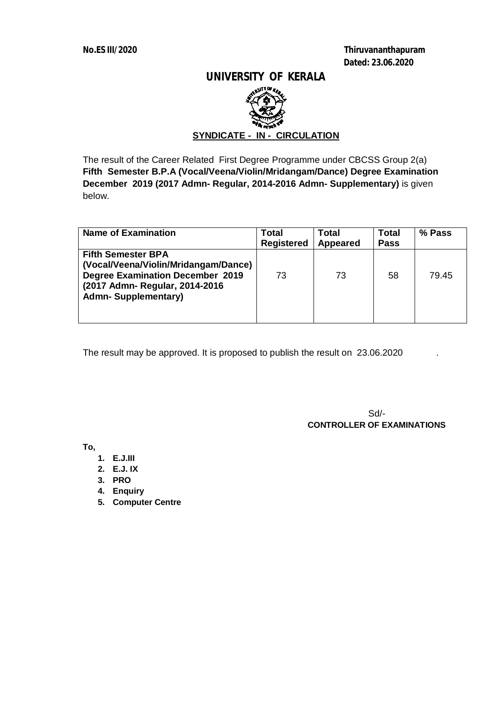**No.ES III/2020 Thiruvananthapuram Dated: 23.06.2020**

## **UNIVERSITY OF KERALA**



# **SYNDICATE - IN - CIRCULATION**

The result of the Career Related First Degree Programme under CBCSS Group 2(a) **Fifth Semester B.P.A (Vocal/Veena/Violin/Mridangam/Dance) Degree Examination December 2019 (2017 Admn- Regular, 2014-2016 Admn- Supplementary)** is given below.

| <b>Name of Examination</b>                                                                                                                                                   | Total<br><b>Registered</b> | <b>Total</b><br>Appeared | <b>Total</b><br><b>Pass</b> | % Pass |
|------------------------------------------------------------------------------------------------------------------------------------------------------------------------------|----------------------------|--------------------------|-----------------------------|--------|
| <b>Fifth Semester BPA</b><br>(Vocal/Veena/Violin/Mridangam/Dance)<br><b>Degree Examination December 2019</b><br>(2017 Admn- Regular, 2014-2016<br><b>Admn-Supplementary)</b> | 73                         | 73                       | 58                          | 79.45  |

The result may be approved. It is proposed to publish the result on 23.06.2020

Sd/-  **CONTROLLER OF EXAMINATIONS**

**To,**

- **1. E.J.III**
- **2. E.J. IX**
- **3. PRO**
- **4. Enquiry**
- **5. Computer Centre**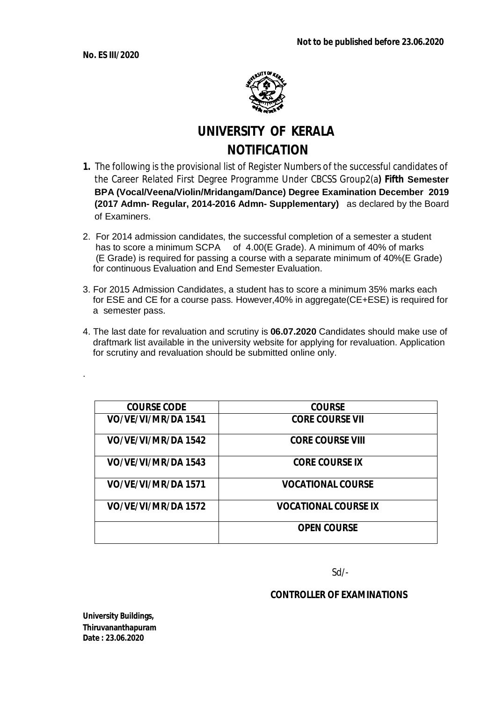

# **UNIVERSITY OF KERALA NOTIFICATION**

- **1.** The following is the provisional list of Register Numbers of the successful candidates of the Career Related First Degree Programme Under CBCSS Group2(a**) Fifth Semester BPA (Vocal/Veena/Violin/Mridangam/Dance) Degree Examination December 2019 (2017 Admn- Regular, 2014-2016 Admn- Supplementary)** as declared by the Board of Examiners.
- 2. For 2014 admission candidates, the successful completion of a semester a student has to score a minimum SCPA of 4.00(E Grade). A minimum of 40% of marks (E Grade) is required for passing a course with a separate minimum of 40%(E Grade) for continuous Evaluation and End Semester Evaluation.
- 3. For 2015 Admission Candidates, a student has to score a minimum 35% marks each for ESE and CE for a course pass. However,40% in aggregate(CE+ESE) is required for a semester pass.
- 4. The last date for revaluation and scrutiny is **06.07.2020** Candidates should make use of draftmark list available in the university website for applying for revaluation. Application for scrutiny and revaluation should be submitted online only.

| <b>COURSE CODE</b>  | <b>COURSE</b>               |
|---------------------|-----------------------------|
| VO/VE/VI/MR/DA 1541 | <b>CORE COURSE VII</b>      |
| VO/VE/VI/MR/DA 1542 | <b>CORE COURSE VIII</b>     |
| VO/VE/VI/MR/DA 1543 | <b>CORE COURSE IX</b>       |
| VO/VE/VI/MR/DA 1571 | <b>VOCATIONAL COURSE</b>    |
| VO/VE/VI/MR/DA 1572 | <b>VOCATIONAL COURSE IX</b> |
|                     | <b>OPEN COURSE</b>          |

Sd/-

# **CONTROLLER OF EXAMINATIONS**

**University Buildings, Thiruvananthapuram Date : 23.06.2020**

.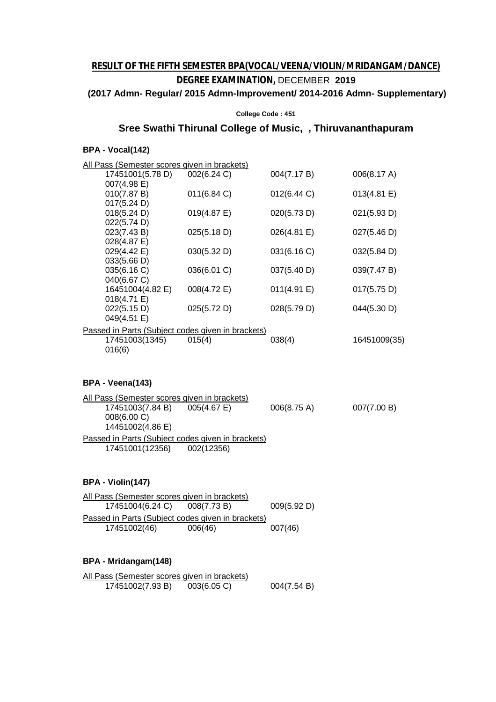# **RESULT OF THE FIFTH SEMESTER BPA(VOCAL/VEENA/VIOLIN/MRIDANGAM/DANCE) DEGREE EXAMINATION,** DECEMBER **2019**

#### **(2017 Admn- Regular/ 2015 Admn-Improvement/ 2014-2016 Admn- Supplementary)**

#### **College Code : 451**

# **Sree Swathi Thirunal College of Music, , Thiruvananthapuram**

#### **BPA - Vocal(142)**

| All Pass (Semester scores given in brackets)      |             |             |              |  |  |
|---------------------------------------------------|-------------|-------------|--------------|--|--|
| 17451001(5.78 D)                                  | 002(6.24 C) | 004(7.17 B) | 006(8.17 A)  |  |  |
| 007(4.98 E)                                       |             |             |              |  |  |
| 010(7.87 B)                                       | 011(6.84 C) | 012(6.44 C) | 013(4.81 E)  |  |  |
| 017(5.24 D)                                       |             |             |              |  |  |
| 018(5.24 D)<br>022(5.74 D)                        | 019(4.87 E) | 020(5.73 D) | 021(5.93 D)  |  |  |
| 023(7.43 B)                                       | 025(5.18 D) | 026(4.81 E) | 027(5.46 D)  |  |  |
| 028(4.87 E)                                       |             |             |              |  |  |
| 029(4.42 E)                                       | 030(5.32 D) | 031(6.16 C) | 032(5.84 D)  |  |  |
| 033(5.66 D)                                       |             |             |              |  |  |
| 035(6.16 C)                                       | 036(6.01 C) | 037(5.40 D) | 039(7.47 B)  |  |  |
| 040(6.67 C)                                       |             |             |              |  |  |
| 16451004(4.82 E)                                  | 008(4.72 E) | 011(4.91 E) | 017(5.75 D)  |  |  |
| 018(4.71 E)                                       |             |             |              |  |  |
| 022(5.15 D)                                       | 025(5.72 D) | 028(5.79 D) | 044(5.30 D)  |  |  |
| 049(4.51 E)                                       |             |             |              |  |  |
| Passed in Parts (Subject codes given in brackets) |             |             |              |  |  |
| 17451003(1345)                                    | 015(4)      | 038(4)      | 16451009(35) |  |  |
| 016(6)                                            |             |             |              |  |  |
|                                                   |             |             |              |  |  |
|                                                   |             |             |              |  |  |
| BPA - Veena(143)                                  |             |             |              |  |  |
| All Pass (Semester scores given in brackets)      |             |             |              |  |  |
| 17451003(7.84 B)                                  | 005(4.67 E) | 006(8.75 A) | 007(7.00 B)  |  |  |
| 008(6.00 C)                                       |             |             |              |  |  |
| 14451002(4.86 E)                                  |             |             |              |  |  |
| Passed in Parts (Subject codes given in brackets) |             |             |              |  |  |
| 17451001(12356)                                   | 002(12356)  |             |              |  |  |
|                                                   |             |             |              |  |  |
|                                                   |             |             |              |  |  |
|                                                   |             |             |              |  |  |
| BPA - Violin(147)                                 |             |             |              |  |  |
| All Pass (Semester scores given in brackets)      |             |             |              |  |  |
| 17451004(6.24 C)                                  | 008(7.73 B) | 009(5.92 D) |              |  |  |
| Passed in Parts (Subject codes given in brackets) |             |             |              |  |  |
| 17451002(46)                                      | 006(46)     | 007(46)     |              |  |  |
|                                                   |             |             |              |  |  |
|                                                   |             |             |              |  |  |
| BPA - Mridangam(148)                              |             |             |              |  |  |
|                                                   |             |             |              |  |  |
| All Pass (Semester scores given in brackets)      |             |             |              |  |  |
| 17451002(7.93 B)                                  | 003(6.05 C) | 004(7.54 B) |              |  |  |